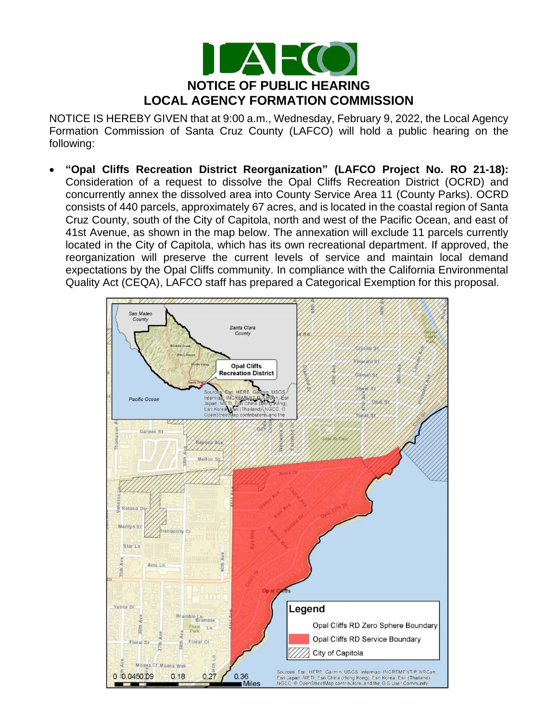

NOTICE IS HEREBY GIVEN that at 9:00 a.m., Wednesday, February 9, 2022, the Local Agency Formation Commission of Santa Cruz County (LAFCO) will hold a public hearing on the following:

• **"Opal Cliffs Recreation District Reorganization" (LAFCO Project No. RO 21-18):**  Consideration of a request to dissolve the Opal Cliffs Recreation District (OCRD) and concurrently annex the dissolved area into County Service Area 11 (County Parks). OCRD consists of 440 parcels, approximately 67 acres, and is located in the coastal region of Santa Cruz County, south of the City of Capitola, north and west of the Pacific Ocean, and east of 41st Avenue, as shown in the map below. The annexation will exclude 11 parcels currently located in the City of Capitola, which has its own recreational department. If approved, the reorganization will preserve the current levels of service and maintain local demand expectations by the Opal Cliffs community. In compliance with the California Environmental Quality Act (CEQA), LAFCO staff has prepared a Categorical Exemption for this proposal.